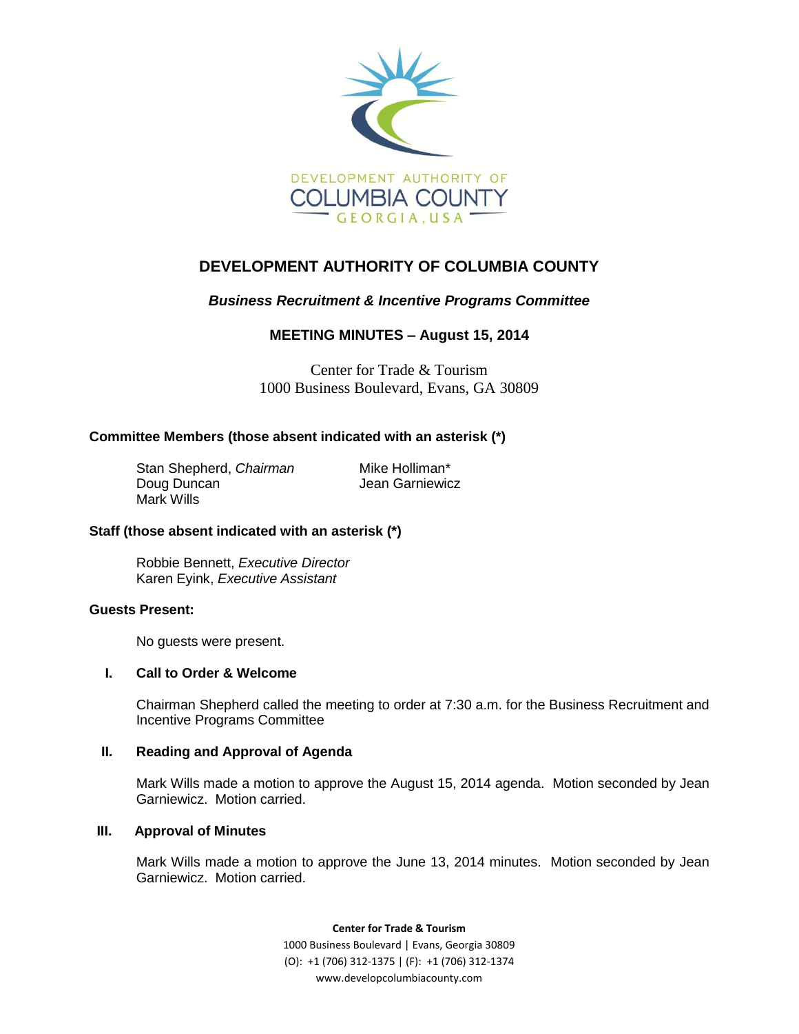

# **DEVELOPMENT AUTHORITY OF COLUMBIA COUNTY**

## *Business Recruitment & Incentive Programs Committee*

## **MEETING MINUTES – August 15, 2014**

Center for Trade & Tourism 1000 Business Boulevard, Evans, GA 30809

## **Committee Members (those absent indicated with an asterisk (\*)**

Stan Shepherd, *Chairman* Mike Holliman\* Doug Duncan **Jean Garniewicz** Mark Wills

## **Staff (those absent indicated with an asterisk (\*)**

Robbie Bennett, *Executive Director* Karen Eyink, *Executive Assistant*

## **Guests Present:**

No guests were present.

## **I. Call to Order & Welcome**

Chairman Shepherd called the meeting to order at 7:30 a.m. for the Business Recruitment and Incentive Programs Committee

## **II. Reading and Approval of Agenda**

Mark Wills made a motion to approve the August 15, 2014 agenda. Motion seconded by Jean Garniewicz. Motion carried.

## **III. Approval of Minutes**

Mark Wills made a motion to approve the June 13, 2014 minutes. Motion seconded by Jean Garniewicz. Motion carried.

**Center for Trade & Tourism**

1000 Business Boulevard | Evans, Georgia 30809 (O): +1 (706) 312-1375 | (F): +1 (706) 312-1374 www.developcolumbiacounty.com